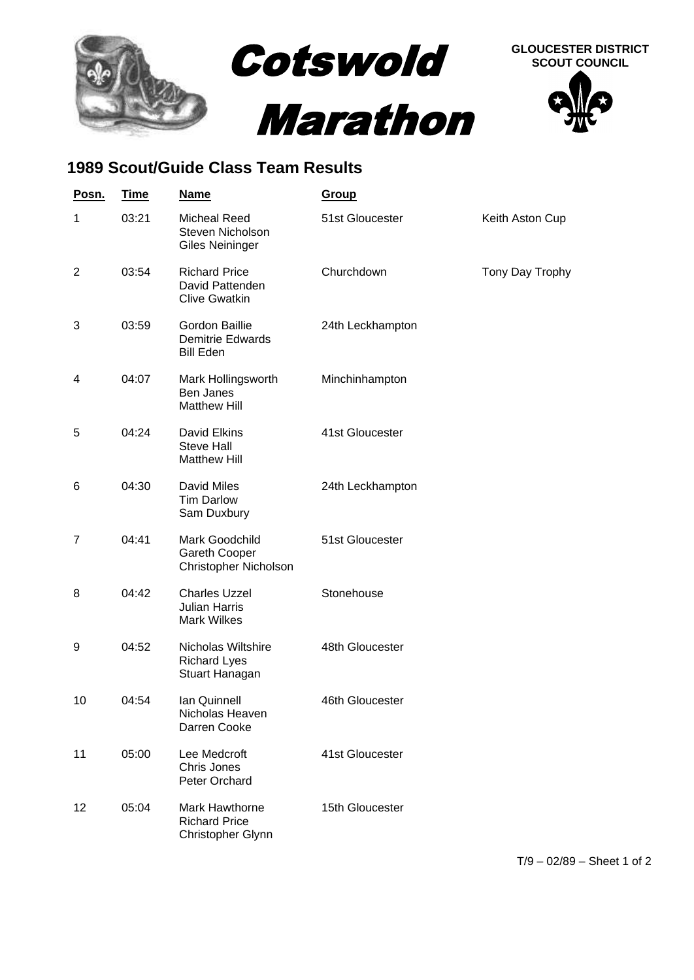

## **1989 Scout/Guide Class Team Results**

| Posn. | <b>Time</b> | <b>Name</b>                                                        | <b>Group</b>     |                 |
|-------|-------------|--------------------------------------------------------------------|------------------|-----------------|
| 1     | 03:21       | <b>Micheal Reed</b><br>Steven Nicholson<br><b>Giles Neininger</b>  | 51st Gloucester  | Keith Aston Cup |
| 2     | 03:54       | <b>Richard Price</b><br>David Pattenden<br><b>Clive Gwatkin</b>    | Churchdown       | Tony Day Trophy |
| 3     | 03:59       | Gordon Baillie<br><b>Demitrie Edwards</b><br><b>Bill Eden</b>      | 24th Leckhampton |                 |
| 4     | 04:07       | Mark Hollingsworth<br>Ben Janes<br><b>Matthew Hill</b>             | Minchinhampton   |                 |
| 5     | 04:24       | David Elkins<br><b>Steve Hall</b><br><b>Matthew Hill</b>           | 41st Gloucester  |                 |
| 6     | 04:30       | <b>David Miles</b><br><b>Tim Darlow</b><br>Sam Duxbury             | 24th Leckhampton |                 |
| 7     | 04:41       | Mark Goodchild<br>Gareth Cooper<br>Christopher Nicholson           | 51st Gloucester  |                 |
| 8     | 04:42       | <b>Charles Uzzel</b><br><b>Julian Harris</b><br><b>Mark Wilkes</b> | Stonehouse       |                 |
| 9     | 04:52       | Nicholas Wiltshire<br><b>Richard Lyes</b><br>Stuart Hanagan        | 48th Gloucester  |                 |
| 10    | 04:54       | <b>Ian Quinnell</b><br>Nicholas Heaven<br>Darren Cooke             | 46th Gloucester  |                 |
| 11    | 05:00       | Lee Medcroft<br>Chris Jones<br>Peter Orchard                       | 41st Gloucester  |                 |
| 12    | 05:04       | <b>Mark Hawthorne</b><br><b>Richard Price</b><br>Christopher Glynn | 15th Gloucester  |                 |